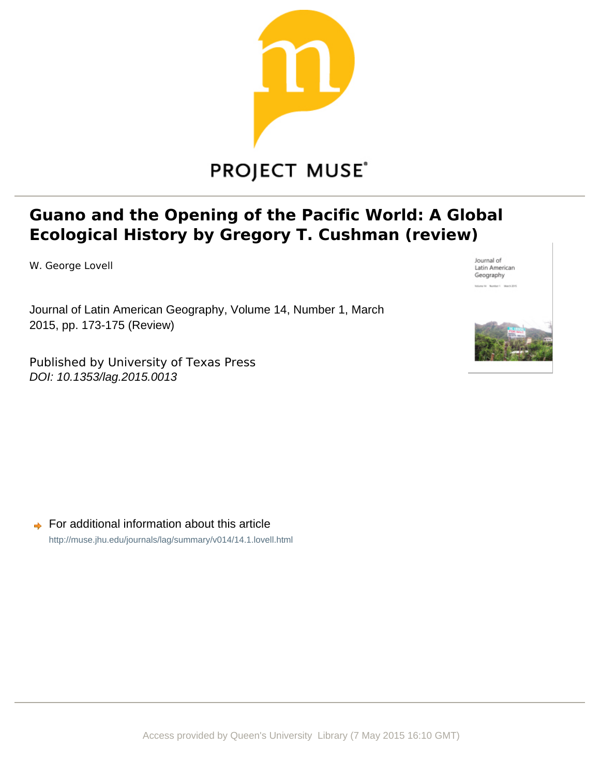

## **PROJECT MUSE®**

## **Guano and the Opening of the Pacific World: A Global Ecological History by Gregory T. Cushman (review)**

W. George Lovell

Journal of Latin American Geography, Volume 14, Number 1, March 2015, pp. 173-175 (Review)

Published by University of Texas Press DOI: 10.1353/lag.2015.0013



Journal of Latin American Geography

 $\rightarrow$  For additional information about this article <http://muse.jhu.edu/journals/lag/summary/v014/14.1.lovell.html>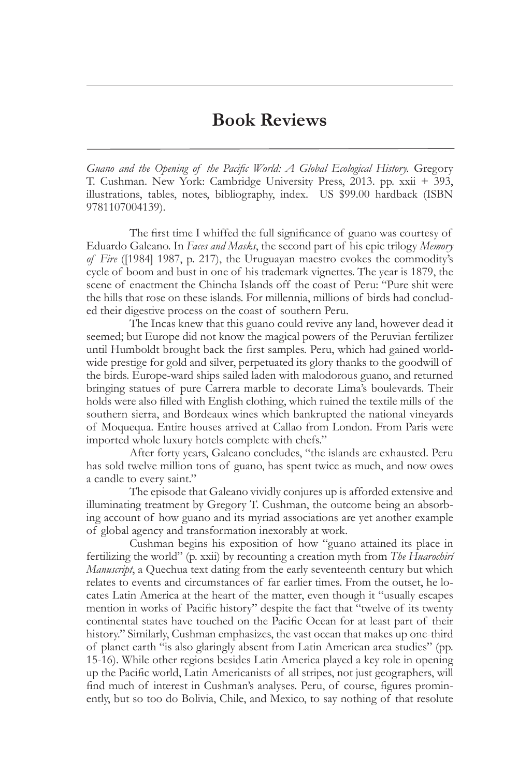## **Book Reviews**

*Guano and the Opening of the Pacific World: A Global Ecological History.* Gregory T. Cushman. New York: Cambridge University Press, 2013. pp. xxii + 393, illustrations, tables, notes, bibliography, index. US \$99.00 hardback (ISBN 9781107004139).

 The first time I whiffed the full significance of guano was courtesy of Eduardo Galeano. In *Faces and Masks*, the second part of his epic trilogy *Memory of Fire* ([1984] 1987, p. 217), the Uruguayan maestro evokes the commodity's cycle of boom and bust in one of his trademark vignettes. The year is 1879, the scene of enactment the Chincha Islands off the coast of Peru: "Pure shit were the hills that rose on these islands. For millennia, millions of birds had concluded their digestive process on the coast of southern Peru.

The Incas knew that this guano could revive any land, however dead it seemed; but Europe did not know the magical powers of the Peruvian fertilizer until Humboldt brought back the first samples. Peru, which had gained worldwide prestige for gold and silver, perpetuated its glory thanks to the goodwill of the birds. Europe-ward ships sailed laden with malodorous guano, and returned bringing statues of pure Carrera marble to decorate Lima's boulevards. Their holds were also filled with English clothing, which ruined the textile mills of the southern sierra, and Bordeaux wines which bankrupted the national vineyards of Moquequa. Entire houses arrived at Callao from London. From Paris were imported whole luxury hotels complete with chefs."

 After forty years, Galeano concludes, "the islands are exhausted. Peru has sold twelve million tons of guano, has spent twice as much, and now owes a candle to every saint."

 The episode that Galeano vividly conjures up is afforded extensive and illuminating treatment by Gregory T. Cushman, the outcome being an absorbing account of how guano and its myriad associations are yet another example of global agency and transformation inexorably at work.

 Cushman begins his exposition of how "guano attained its place in fertilizing the world" (p. xxii) by recounting a creation myth from *The Huarochirí Manuscript*, a Quechua text dating from the early seventeenth century but which relates to events and circumstances of far earlier times. From the outset, he locates Latin America at the heart of the matter, even though it "usually escapes mention in works of Pacific history" despite the fact that "twelve of its twenty continental states have touched on the Pacific Ocean for at least part of their history." Similarly, Cushman emphasizes, the vast ocean that makes up one-third of planet earth "is also glaringly absent from Latin American area studies" (pp. 15-16). While other regions besides Latin America played a key role in opening up the Pacific world, Latin Americanists of all stripes, not just geographers, will find much of interest in Cushman's analyses. Peru, of course, figures prominently, but so too do Bolivia, Chile, and Mexico, to say nothing of that resolute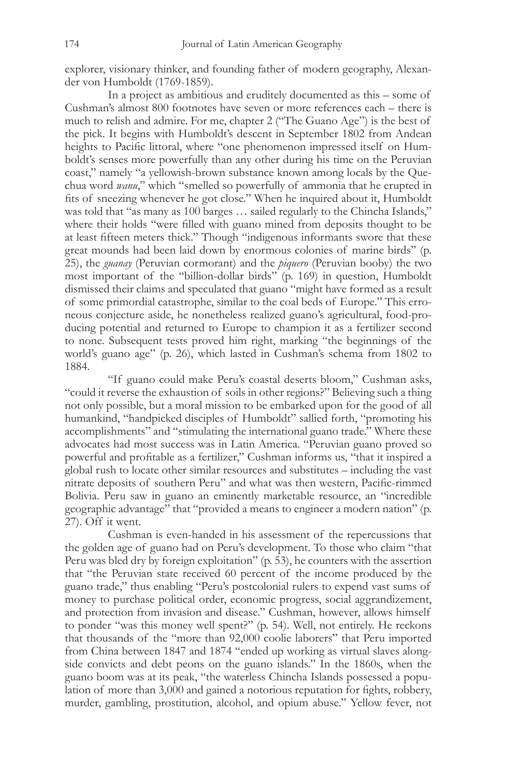explorer, visionary thinker, and founding father of modern geography, Alexander von Humboldt (1769-1859).

 In a project as ambitious and eruditely documented as this – some of Cushman's almost 800 footnotes have seven or more references each – there is much to relish and admire. For me, chapter 2 ("The Guano Age") is the best of the pick. It begins with Humboldt's descent in September 1802 from Andean heights to Pacific littoral, where "one phenomenon impressed itself on Humboldt's senses more powerfully than any other during his time on the Peruvian coast," namely "a yellowish-brown substance known among locals by the Quechua word *wanu*," which "smelled so powerfully of ammonia that he erupted in fits of sneezing whenever he got close." When he inquired about it, Humboldt was told that "as many as 100 barges … sailed regularly to the Chincha Islands," where their holds "were filled with guano mined from deposits thought to be at least fifteen meters thick." Though "indigenous informants swore that these great mounds had been laid down by enormous colonies of marine birds" (p. 25), the *guanay* (Peruvian cormorant) and the *piquero* (Peruvian booby) the two most important of the "billion-dollar birds" (p. 169) in question, Humboldt dismissed their claims and speculated that guano "might have formed as a result of some primordial catastrophe, similar to the coal beds of Europe." This erroneous conjecture aside, he nonetheless realized guano's agricultural, food-producing potential and returned to Europe to champion it as a fertilizer second to none. Subsequent tests proved him right, marking "the beginnings of the world's guano age" (p. 26), which lasted in Cushman's schema from 1802 to 1884.

 "If guano could make Peru's coastal deserts bloom," Cushman asks, "could it reverse the exhaustion of soils in other regions?" Believing such a thing not only possible, but a moral mission to be embarked upon for the good of all humankind, "handpicked disciples of Humboldt" sallied forth, "promoting his accomplishments" and "stimulating the international guano trade." Where these advocates had most success was in Latin America. "Peruvian guano proved so powerful and profitable as a fertilizer," Cushman informs us, "that it inspired a global rush to locate other similar resources and substitutes – including the vast nitrate deposits of southern Peru" and what was then western, Pacific-rimmed Bolivia. Peru saw in guano an eminently marketable resource, an "incredible geographic advantage" that "provided a means to engineer a modern nation" (p. 27). Off it went.

 Cushman is even-handed in his assessment of the repercussions that the golden age of guano had on Peru's development. To those who claim "that Peru was bled dry by foreign exploitation" (p. 53), he counters with the assertion that "the Peruvian state received 60 percent of the income produced by the guano trade," thus enabling "Peru's postcolonial rulers to expend vast sums of money to purchase political order, economic progress, social aggrandizement, and protection from invasion and disease." Cushman, however, allows himself to ponder "was this money well spent?" (p. 54). Well, not entirely. He reckons that thousands of the "more than 92,000 coolie laborers" that Peru imported from China between 1847 and 1874 "ended up working as virtual slaves alongside convicts and debt peons on the guano islands." In the 1860s, when the guano boom was at its peak, "the waterless Chincha Islands possessed a population of more than 3,000 and gained a notorious reputation for fights, robbery, murder, gambling, prostitution, alcohol, and opium abuse." Yellow fever, not